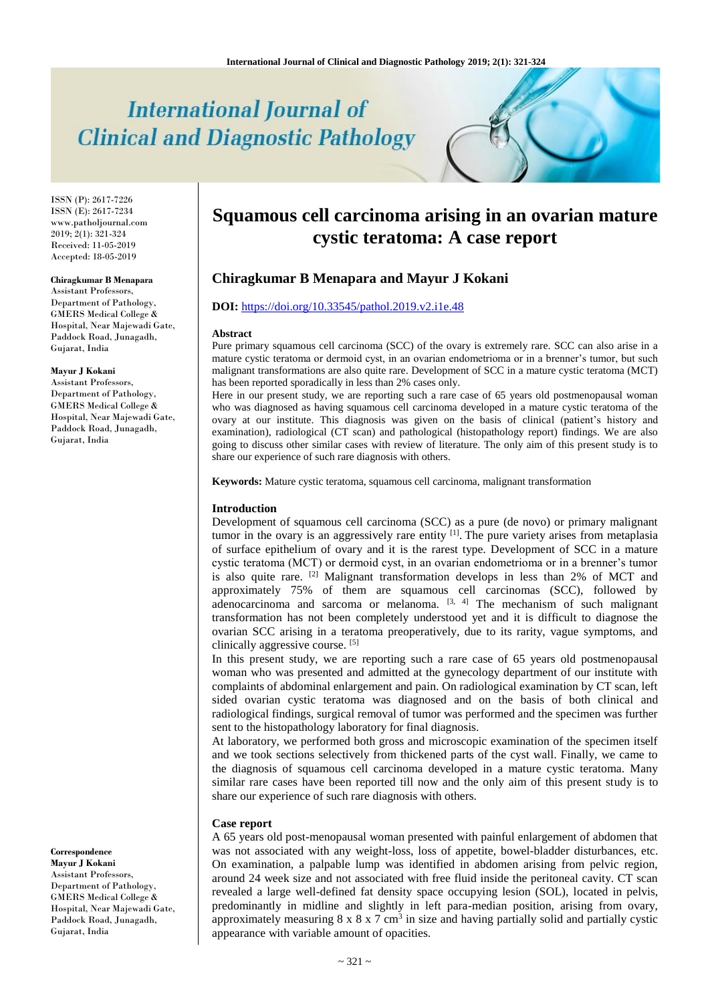# **International Journal of Clinical and Diagnostic Pathology**

ISSN (P): 2617-7226 ISSN (E): 2617-7234 www.patholjournal.com 2019; 2(1): 321-324 Received: 11-05-2019 Accepted: 18-05-2019

#### **Chiragkumar B Menapara**

Assistant Professors, Department of Pathology, GMERS Medical College & Hospital, Near Majewadi Gate, Paddock Road, Junagadh, Gujarat, India

#### **Mayur J Kokani**

Assistant Professors, Department of Pathology, GMERS Medical College & Hospital, Near Majewadi Gate, Paddock Road, Junagadh, Gujarat, India

**Correspondence Mayur J Kokani** Assistant Professors, Department of Pathology, GMERS Medical College & Hospital, Near Majewadi Gate, Paddock Road, Junagadh, Gujarat, India

## **Squamous cell carcinoma arising in an ovarian mature cystic teratoma: A case report**

## **Chiragkumar B Menapara and Mayur J Kokani**

## **DOI:** <https://doi.org/10.33545/pathol.2019.v2.i1e.48>

#### **Abstract**

Pure primary squamous cell carcinoma (SCC) of the ovary is extremely rare. SCC can also arise in a mature cystic teratoma or dermoid cyst, in an ovarian endometrioma or in a brenner's tumor, but such malignant transformations are also quite rare. Development of SCC in a mature cystic teratoma (MCT) has been reported sporadically in less than 2% cases only.

Here in our present study, we are reporting such a rare case of 65 years old postmenopausal woman who was diagnosed as having squamous cell carcinoma developed in a mature cystic teratoma of the ovary at our institute. This diagnosis was given on the basis of clinical (patient's history and examination), radiological (CT scan) and pathological (histopathology report) findings. We are also going to discuss other similar cases with review of literature. The only aim of this present study is to share our experience of such rare diagnosis with others.

**Keywords:** Mature cystic teratoma, squamous cell carcinoma, malignant transformation

#### **Introduction**

Development of squamous cell carcinoma (SCC) as a pure (de novo) or primary malignant tumor in the ovary is an aggressively rare entity  $[1]$ . The pure variety arises from metaplasia of surface epithelium of ovary and it is the rarest type. Development of SCC in a mature cystic teratoma (MCT) or dermoid cyst, in an ovarian endometrioma or in a brenner's tumor is also quite rare. [2] Malignant transformation develops in less than 2% of MCT and approximately 75% of them are squamous cell carcinomas (SCC), followed by adenocarcinoma and sarcoma or melanoma.  $[3, 4]$  The mechanism of such malignant transformation has not been completely understood yet and it is difficult to diagnose the ovarian SCC arising in a teratoma preoperatively, due to its rarity, vague symptoms, and clinically aggressive course. [5]

In this present study, we are reporting such a rare case of 65 years old postmenopausal woman who was presented and admitted at the gynecology department of our institute with complaints of abdominal enlargement and pain. On radiological examination by CT scan, left sided ovarian cystic teratoma was diagnosed and on the basis of both clinical and radiological findings, surgical removal of tumor was performed and the specimen was further sent to the histopathology laboratory for final diagnosis.

At laboratory, we performed both gross and microscopic examination of the specimen itself and we took sections selectively from thickened parts of the cyst wall. Finally, we came to the diagnosis of squamous cell carcinoma developed in a mature cystic teratoma. Many similar rare cases have been reported till now and the only aim of this present study is to share our experience of such rare diagnosis with others.

#### **Case report**

A 65 years old post-menopausal woman presented with painful enlargement of abdomen that was not associated with any weight-loss, loss of appetite, bowel-bladder disturbances, etc. On examination, a palpable lump was identified in abdomen arising from pelvic region, around 24 week size and not associated with free fluid inside the peritoneal cavity. CT scan revealed a large well-defined fat density space occupying lesion (SOL), located in pelvis, predominantly in midline and slightly in left para-median position, arising from ovary, approximately measuring  $8 \times 8 \times 7$  cm<sup>3</sup> in size and having partially solid and partially cystic appearance with variable amount of opacities.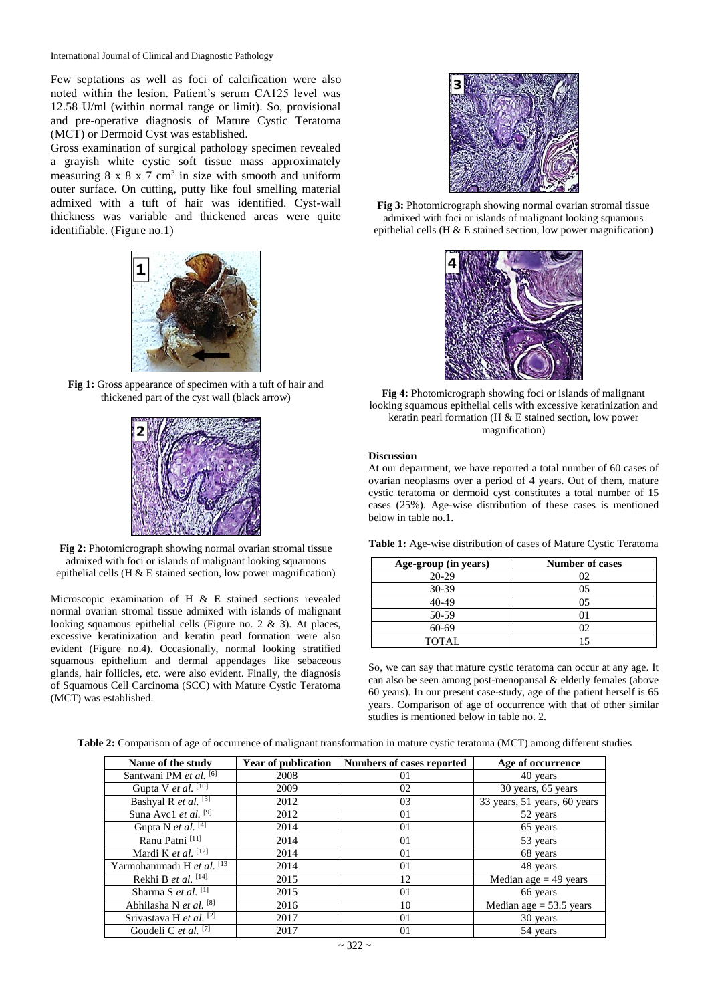Few septations as well as foci of calcification were also noted within the lesion. Patient's serum CA125 level was 12.58 U/ml (within normal range or limit). So, provisional and pre-operative diagnosis of Mature Cystic Teratoma (MCT) or Dermoid Cyst was established.

Gross examination of surgical pathology specimen revealed a grayish white cystic soft tissue mass approximately measuring  $8 \times 8 \times 7$  cm<sup>3</sup> in size with smooth and uniform outer surface. On cutting, putty like foul smelling material admixed with a tuft of hair was identified. Cyst-wall thickness was variable and thickened areas were quite identifiable. (Figure no.1)



**Fig 1:** Gross appearance of specimen with a tuft of hair and thickened part of the cyst wall (black arrow)



**Fig 2:** Photomicrograph showing normal ovarian stromal tissue admixed with foci or islands of malignant looking squamous epithelial cells (H & E stained section, low power magnification)

Microscopic examination of H & E stained sections revealed normal ovarian stromal tissue admixed with islands of malignant looking squamous epithelial cells (Figure no. 2 & 3). At places, excessive keratinization and keratin pearl formation were also evident (Figure no.4). Occasionally, normal looking stratified squamous epithelium and dermal appendages like sebaceous glands, hair follicles, etc. were also evident. Finally, the diagnosis of Squamous Cell Carcinoma (SCC) with Mature Cystic Teratoma (MCT) was established.



**Fig 3:** Photomicrograph showing normal ovarian stromal tissue admixed with foci or islands of malignant looking squamous epithelial cells (H & E stained section, low power magnification)



**Fig 4:** Photomicrograph showing foci or islands of malignant looking squamous epithelial cells with excessive keratinization and keratin pearl formation (H & E stained section, low power magnification)

#### **Discussion**

At our department, we have reported a total number of 60 cases of ovarian neoplasms over a period of 4 years. Out of them, mature cystic teratoma or dermoid cyst constitutes a total number of 15 cases (25%). Age-wise distribution of these cases is mentioned below in table no.1.

**Table 1:** Age-wise distribution of cases of Mature Cystic Teratoma

| Age-group (in years) | <b>Number of cases</b> |
|----------------------|------------------------|
| $20 - 29$            | 02                     |
| 30-39                | 05                     |
| $40 - 49$            | 05                     |
| 50-59                |                        |
| 60-69                | 02                     |
| <b>TOTAL</b>         |                        |

So, we can say that mature cystic teratoma can occur at any age. It can also be seen among post-menopausal & elderly females (above 60 years). In our present case-study, age of the patient herself is 65 years. Comparison of age of occurrence with that of other similar studies is mentioned below in table no. 2.

|  |                                            | Table 2: Comparison of age of occurrence of malignant transformation in mature cystic teratoma (MCT) among different studies |  |
|--|--------------------------------------------|------------------------------------------------------------------------------------------------------------------------------|--|
|  | ים ג'ורג' ים דר ויינו מידוד ויינו המידוד ו |                                                                                                                              |  |

| Name of the study                  | <b>Year of publication</b> | <b>Numbers of cases reported</b> | Age of occurrence            |
|------------------------------------|----------------------------|----------------------------------|------------------------------|
| Santwani PM et al. [6]             | 2008                       | 01                               | 40 years                     |
| Gupta V et al. [10]                | 2009                       | 02                               | 30 years, 65 years           |
| Bashyal R et al. [3]               | 2012                       | 03                               | 33 years, 51 years, 60 years |
| Suna Avc1 et al. [9]               | 2012                       | 01                               | 52 years                     |
| Gupta N et al. [4]                 | 2014                       | 01                               | 65 years                     |
| Ranu Patni [11]                    | 2014                       | 01                               | 53 years                     |
| Mardi K et al. [12]                | 2014                       | 01                               | 68 years                     |
| Yarmohammadi H et al. [13]         | 2014                       | 01                               | 48 years                     |
| Rekhi B et al. <sup>[14]</sup>     | 2015                       | 12                               | Median age $=$ 49 years      |
| Sharma S <i>et al.</i> $[1]$       | 2015                       | 01                               | 66 years                     |
| Abhilasha N et al. [8]             | 2016                       | 10                               | Median age $= 53.5$ years    |
| Srivastava H et al. <sup>[2]</sup> | 2017                       | 01                               | 30 years                     |
| Goudeli C et al. $[7]$             | 2017                       | 01                               | 54 years                     |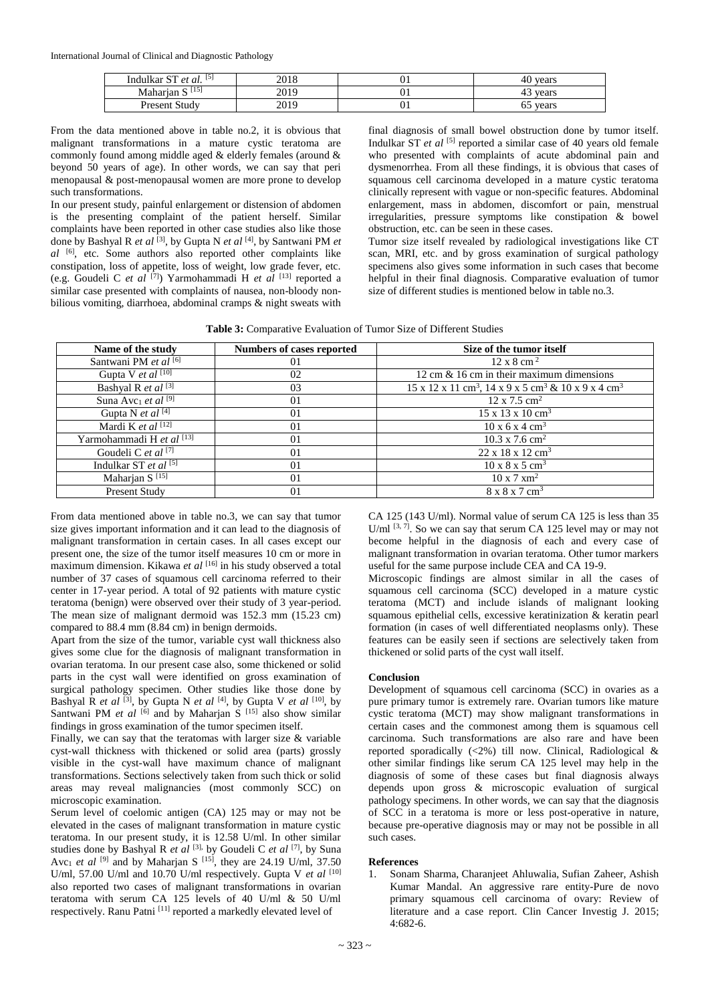International Journal of Clinical and Diagnostic Pathology

| $[5]$<br>Indulkar ST<br>$C^{\mathsf{T}}$<br>et al. | 2018 | vι | vears<br>4U |
|----------------------------------------------------|------|----|-------------|
| $[15]$<br>$\sim$<br>Maharian S                     | 2019 | vι | vears<br>45 |
| . Studv<br>Present                                 | 2019 | vι | vears<br>υJ |

From the data mentioned above in table no.2, it is obvious that malignant transformations in a mature cystic teratoma are commonly found among middle aged & elderly females (around & beyond 50 years of age). In other words, we can say that peri menopausal & post-menopausal women are more prone to develop such transformations.

In our present study, painful enlargement or distension of abdomen is the presenting complaint of the patient herself. Similar complaints have been reported in other case studies also like those done by Bashyal R *et al* [3], by Gupta N *et al* [4], by Santwani PM *et al* [6], etc. Some authors also reported other complaints like constipation, loss of appetite, loss of weight, low grade fever, etc. (e.g. Goudeli C *et al* [7]) Yarmohammadi H *et al* [13] reported a similar case presented with complaints of nausea, non-bloody nonbilious vomiting, diarrhoea, abdominal cramps & night sweats with

final diagnosis of small bowel obstruction done by tumor itself. Indulkar ST *et al* [5] reported a similar case of 40 years old female who presented with complaints of acute abdominal pain and dysmenorrhea. From all these findings, it is obvious that cases of squamous cell carcinoma developed in a mature cystic teratoma clinically represent with vague or non-specific features. Abdominal enlargement, mass in abdomen, discomfort or pain, menstrual irregularities, pressure symptoms like constipation & bowel obstruction, etc. can be seen in these cases.

Tumor size itself revealed by radiological investigations like CT scan, MRI, etc. and by gross examination of surgical pathology specimens also gives some information in such cases that become helpful in their final diagnosis. Comparative evaluation of tumor size of different studies is mentioned below in table no.3.

| <b>Table 3:</b> Comparative Evaluation of Tumor Size of Different Studies |  |  |
|---------------------------------------------------------------------------|--|--|
|                                                                           |  |  |

| Name of the study                          | <b>Numbers of cases reported</b> | Size of the tumor itself                                                               |
|--------------------------------------------|----------------------------------|----------------------------------------------------------------------------------------|
| Santwani PM et al <a>[6]</a>               | 01                               | $12 \times 8$ cm <sup>2</sup>                                                          |
| Gupta V et al $^{[10]}$                    | 02                               | 12 cm $\&$ 16 cm in their maximum dimensions                                           |
| Bashyal R et al $\sqrt{3}$                 | 03                               | 15 x 12 x 11 cm <sup>3</sup> , 14 x 9 x 5 cm <sup>3</sup> & 10 x 9 x 4 cm <sup>3</sup> |
| Suna Avc <sub>1</sub> et al <sup>[9]</sup> | 01                               | $12 \times 7.5$ cm <sup>2</sup>                                                        |
| Gupta N et al $[4]$                        | 01                               | $15 \times 13 \times 10 \text{ cm}^3$                                                  |
| Mardi K et al $[12]$                       | 01                               | $10 \times 6 \times 4$ cm <sup>3</sup>                                                 |
| Yarmohammadi H et al [13]                  | 01                               | $10.3 \times 7.6$ cm <sup>2</sup>                                                      |
| Goudeli C et al [7]                        | 01                               | $22 \times 18 \times 12 \text{ cm}^3$                                                  |
| Indulkar ST et al $^{[5]}$                 | $_{01}$                          | $10 \times 8 \times 5$ cm <sup>3</sup>                                                 |
| Maharjan S <sup>[15]</sup>                 | 0 <sub>1</sub>                   | $10 \times 7 \times m^2$                                                               |
| Present Study                              | 01                               | $8 \times 8 \times 7$ cm <sup>3</sup>                                                  |

From data mentioned above in table no.3, we can say that tumor size gives important information and it can lead to the diagnosis of malignant transformation in certain cases. In all cases except our present one, the size of the tumor itself measures 10 cm or more in maximum dimension. Kikawa *et al* [16] in his study observed a total number of 37 cases of squamous cell carcinoma referred to their center in 17-year period. A total of 92 patients with mature cystic teratoma (benign) were observed over their study of 3 year-period. The mean size of malignant dermoid was 152.3 mm (15.23 cm) compared to 88.4 mm (8.84 cm) in benign dermoids.

Apart from the size of the tumor, variable cyst wall thickness also gives some clue for the diagnosis of malignant transformation in ovarian teratoma. In our present case also, some thickened or solid parts in the cyst wall were identified on gross examination of surgical pathology specimen. Other studies like those done by Bashyal R *et al* [3] , by Gupta N *et al* [4], by Gupta V *et al* [10], by Santwani PM *et al*  $[6]$  and by Maharjan S  $[15]$  also show similar findings in gross examination of the tumor specimen itself.

Finally, we can say that the teratomas with larger size & variable cyst-wall thickness with thickened or solid area (parts) grossly visible in the cyst-wall have maximum chance of malignant transformations. Sections selectively taken from such thick or solid areas may reveal malignancies (most commonly SCC) on microscopic examination.

Serum level of coelomic antigen (CA) 125 may or may not be elevated in the cases of malignant transformation in mature cystic teratoma. In our present study, it is 12.58 U/ml. In other similar studies done by Bashyal R *et al* [3], by Goudeli C *et al* [7], by Suna Avc<sub>1</sub> *et al* <sup>[9]</sup> and by Maharjan S<sup>[15]</sup>, they are 24.19 U/ml, 37.50 U/ml, 57.00 U/ml and 10.70 U/ml respectively. Gupta V *et al* [10] also reported two cases of malignant transformations in ovarian teratoma with serum CA 125 levels of 40 U/ml & 50 U/ml respectively. Ranu Patni [11] reported a markedly elevated level of

CA 125 (143 U/ml). Normal value of serum CA 125 is less than 35 U/ml <sup>[3, 7]</sup>. So we can say that serum CA 125 level may or may not become helpful in the diagnosis of each and every case of malignant transformation in ovarian teratoma. Other tumor markers useful for the same purpose include CEA and CA 19-9.

Microscopic findings are almost similar in all the cases of squamous cell carcinoma (SCC) developed in a mature cystic teratoma (MCT) and include islands of malignant looking squamous epithelial cells, excessive keratinization & keratin pearl formation (in cases of well differentiated neoplasms only). These features can be easily seen if sections are selectively taken from thickened or solid parts of the cyst wall itself.

### **Conclusion**

Development of squamous cell carcinoma (SCC) in ovaries as a pure primary tumor is extremely rare. Ovarian tumors like mature cystic teratoma (MCT) may show malignant transformations in certain cases and the commonest among them is squamous cell carcinoma. Such transformations are also rare and have been reported sporadically (<2%) till now. Clinical, Radiological & other similar findings like serum CA 125 level may help in the diagnosis of some of these cases but final diagnosis always depends upon gross & microscopic evaluation of surgical pathology specimens. In other words, we can say that the diagnosis of SCC in a teratoma is more or less post-operative in nature, because pre-operative diagnosis may or may not be possible in all such cases.

#### **References**

1. Sonam Sharma, Charanjeet Ahluwalia, Sufian Zaheer, Ashish Kumar Mandal. An aggressive rare entity-Pure de novo primary squamous cell carcinoma of ovary: Review of literature and a case report. Clin Cancer Investig J. 2015; 4:682-6.